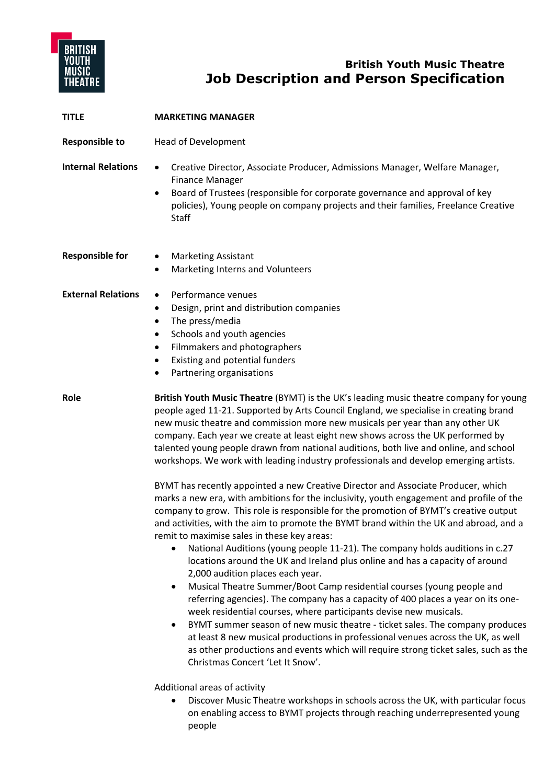

# **British Youth Music Theatre Job Description and Person Specification**

| <b>TITLE</b>              | <b>MARKETING MANAGER</b>                                                                                                                                                                                                                                                                                                                                                                                                                                                                                                                                                                                                                                                                                                                                                                                                                                                                                                                                                                                                                                                                                                                                                                                                                                                                                                                                                                                                                                                                                                                                                                                                                                                                                                 |
|---------------------------|--------------------------------------------------------------------------------------------------------------------------------------------------------------------------------------------------------------------------------------------------------------------------------------------------------------------------------------------------------------------------------------------------------------------------------------------------------------------------------------------------------------------------------------------------------------------------------------------------------------------------------------------------------------------------------------------------------------------------------------------------------------------------------------------------------------------------------------------------------------------------------------------------------------------------------------------------------------------------------------------------------------------------------------------------------------------------------------------------------------------------------------------------------------------------------------------------------------------------------------------------------------------------------------------------------------------------------------------------------------------------------------------------------------------------------------------------------------------------------------------------------------------------------------------------------------------------------------------------------------------------------------------------------------------------------------------------------------------------|
| <b>Responsible to</b>     | <b>Head of Development</b>                                                                                                                                                                                                                                                                                                                                                                                                                                                                                                                                                                                                                                                                                                                                                                                                                                                                                                                                                                                                                                                                                                                                                                                                                                                                                                                                                                                                                                                                                                                                                                                                                                                                                               |
| <b>Internal Relations</b> | Creative Director, Associate Producer, Admissions Manager, Welfare Manager,<br>$\bullet$<br><b>Finance Manager</b><br>Board of Trustees (responsible for corporate governance and approval of key<br>$\bullet$<br>policies), Young people on company projects and their families, Freelance Creative<br>Staff                                                                                                                                                                                                                                                                                                                                                                                                                                                                                                                                                                                                                                                                                                                                                                                                                                                                                                                                                                                                                                                                                                                                                                                                                                                                                                                                                                                                            |
| <b>Responsible for</b>    | <b>Marketing Assistant</b><br>$\bullet$<br>Marketing Interns and Volunteers                                                                                                                                                                                                                                                                                                                                                                                                                                                                                                                                                                                                                                                                                                                                                                                                                                                                                                                                                                                                                                                                                                                                                                                                                                                                                                                                                                                                                                                                                                                                                                                                                                              |
| <b>External Relations</b> | Performance venues<br>$\bullet$<br>Design, print and distribution companies<br>$\bullet$<br>The press/media<br>$\bullet$<br>Schools and youth agencies<br>٠<br>Filmmakers and photographers<br>$\bullet$<br>Existing and potential funders<br>٠<br>Partnering organisations                                                                                                                                                                                                                                                                                                                                                                                                                                                                                                                                                                                                                                                                                                                                                                                                                                                                                                                                                                                                                                                                                                                                                                                                                                                                                                                                                                                                                                              |
| Role                      | British Youth Music Theatre (BYMT) is the UK's leading music theatre company for young<br>people aged 11-21. Supported by Arts Council England, we specialise in creating brand<br>new music theatre and commission more new musicals per year than any other UK<br>company. Each year we create at least eight new shows across the UK performed by<br>talented young people drawn from national auditions, both live and online, and school<br>workshops. We work with leading industry professionals and develop emerging artists.<br>BYMT has recently appointed a new Creative Director and Associate Producer, which<br>marks a new era, with ambitions for the inclusivity, youth engagement and profile of the<br>company to grow. This role is responsible for the promotion of BYMT's creative output<br>and activities, with the aim to promote the BYMT brand within the UK and abroad, and a<br>remit to maximise sales in these key areas:<br>National Auditions (young people 11-21). The company holds auditions in c.27<br>locations around the UK and Ireland plus online and has a capacity of around<br>2,000 audition places each year.<br>Musical Theatre Summer/Boot Camp residential courses (young people and<br>$\bullet$<br>referring agencies). The company has a capacity of 400 places a year on its one-<br>week residential courses, where participants devise new musicals.<br>BYMT summer season of new music theatre - ticket sales. The company produces<br>$\bullet$<br>at least 8 new musical productions in professional venues across the UK, as well<br>as other productions and events which will require strong ticket sales, such as the<br>Christmas Concert 'Let It Snow'. |
|                           | Additional areas of activity<br>Discover Music Theatre workshops in schools across the UK, with particular focus<br>on enabling access to BYMT projects through reaching underrepresented young                                                                                                                                                                                                                                                                                                                                                                                                                                                                                                                                                                                                                                                                                                                                                                                                                                                                                                                                                                                                                                                                                                                                                                                                                                                                                                                                                                                                                                                                                                                          |

people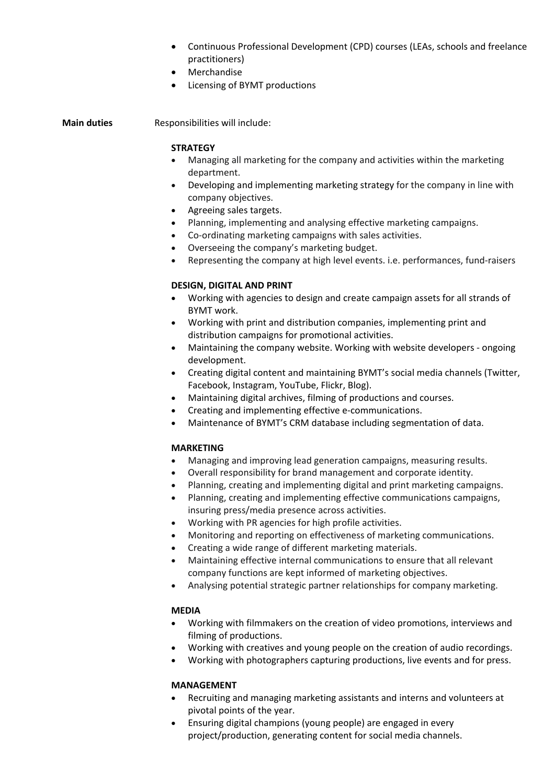- Continuous Professional Development (CPD) courses (LEAs, schools and freelance practitioners)
- Merchandise
- Licensing of BYMT productions

**Main duties** Responsibilities will include:

#### **STRATEGY**

- Managing all marketing for the company and activities within the marketing department.
- Developing and implementing marketing strategy for the company in line with company objectives.
- Agreeing sales targets.
- Planning, implementing and analysing effective marketing campaigns.
- Co-ordinating marketing campaigns with sales activities.
- Overseeing the company's marketing budget.
- Representing the company at high level events. i.e. performances, fund-raisers

### **DESIGN, DIGITAL AND PRINT**

- Working with agencies to design and create campaign assets for all strands of BYMT work.
- Working with print and distribution companies, implementing print and distribution campaigns for promotional activities.
- Maintaining the company website. Working with website developers ongoing development.
- Creating digital content and maintaining BYMT's social media channels (Twitter, Facebook, Instagram, YouTube, Flickr, Blog).
- Maintaining digital archives, filming of productions and courses.
- Creating and implementing effective e-communications.
- Maintenance of BYMT's CRM database including segmentation of data.

#### **MARKETING**

- Managing and improving lead generation campaigns, measuring results.
- Overall responsibility for brand management and corporate identity.
- Planning, creating and implementing digital and print marketing campaigns.
- Planning, creating and implementing effective communications campaigns, insuring press/media presence across activities.
- Working with PR agencies for high profile activities.
- Monitoring and reporting on effectiveness of marketing communications.
- Creating a wide range of different marketing materials.
- Maintaining effective internal communications to ensure that all relevant company functions are kept informed of marketing objectives.
- Analysing potential strategic partner relationships for company marketing.

#### **MEDIA**

- Working with filmmakers on the creation of video promotions, interviews and filming of productions.
- Working with creatives and young people on the creation of audio recordings.
- Working with photographers capturing productions, live events and for press.

#### **MANAGEMENT**

- Recruiting and managing marketing assistants and interns and volunteers at pivotal points of the year.
- Ensuring digital champions (young people) are engaged in every project/production, generating content for social media channels.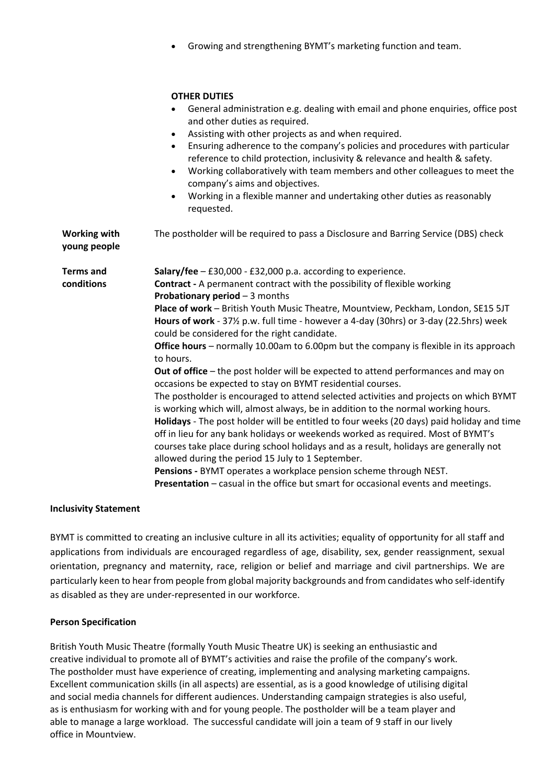• Growing and strengthening BYMT's marketing function and team.

#### **OTHER DUTIES**

|                                     | General administration e.g. dealing with email and phone enquiries, office post<br>and other duties as required.<br>Assisting with other projects as and when required.<br>$\bullet$<br>Ensuring adherence to the company's policies and procedures with particular<br>$\bullet$<br>reference to child protection, inclusivity & relevance and health & safety.<br>Working collaboratively with team members and other colleagues to meet the<br>$\bullet$<br>company's aims and objectives.<br>Working in a flexible manner and undertaking other duties as reasonably<br>$\bullet$<br>requested.                                                                                                                                                                                                                                                                                                                                                                                                                                                                                                                                                                                                                                                                                                                                                                           |
|-------------------------------------|------------------------------------------------------------------------------------------------------------------------------------------------------------------------------------------------------------------------------------------------------------------------------------------------------------------------------------------------------------------------------------------------------------------------------------------------------------------------------------------------------------------------------------------------------------------------------------------------------------------------------------------------------------------------------------------------------------------------------------------------------------------------------------------------------------------------------------------------------------------------------------------------------------------------------------------------------------------------------------------------------------------------------------------------------------------------------------------------------------------------------------------------------------------------------------------------------------------------------------------------------------------------------------------------------------------------------------------------------------------------------|
| <b>Working with</b><br>young people | The postholder will be required to pass a Disclosure and Barring Service (DBS) check                                                                                                                                                                                                                                                                                                                                                                                                                                                                                                                                                                                                                                                                                                                                                                                                                                                                                                                                                                                                                                                                                                                                                                                                                                                                                         |
| <b>Terms</b> and<br>conditions      | Salary/fee $-$ £30,000 - £32,000 p.a. according to experience.<br><b>Contract</b> - A permanent contract with the possibility of flexible working<br>Probationary period - 3 months<br>Place of work - British Youth Music Theatre, Mountview, Peckham, London, SE15 5JT<br>Hours of work - 37 <sup>1</sup> / <sub>2</sub> p.w. full time - however a 4-day (30hrs) or 3-day (22.5hrs) week<br>could be considered for the right candidate.<br>Office hours - normally 10.00am to 6.00pm but the company is flexible in its approach<br>to hours.<br>Out of office - the post holder will be expected to attend performances and may on<br>occasions be expected to stay on BYMT residential courses.<br>The postholder is encouraged to attend selected activities and projects on which BYMT<br>is working which will, almost always, be in addition to the normal working hours.<br>Holidays - The post holder will be entitled to four weeks (20 days) paid holiday and time<br>off in lieu for any bank holidays or weekends worked as required. Most of BYMT's<br>courses take place during school holidays and as a result, holidays are generally not<br>allowed during the period 15 July to 1 September.<br>Pensions - BYMT operates a workplace pension scheme through NEST.<br>Presentation - casual in the office but smart for occasional events and meetings. |

#### **Inclusivity Statement**

BYMT is committed to creating an inclusive culture in all its activities; equality of opportunity for all staff and applications from individuals are encouraged regardless of age, disability, sex, gender reassignment, sexual orientation, pregnancy and maternity, race, religion or belief and marriage and civil partnerships. We are particularly keen to hear from people from global majority backgrounds and from candidates who self-identify as disabled as they are under-represented in our workforce.

#### **Person Specification**

British Youth Music Theatre (formally Youth Music Theatre UK) is seeking an enthusiastic and creative individual to promote all of BYMT's activities and raise the profile of the company's work. The postholder must have experience of creating, implementing and analysing marketing campaigns. Excellent communication skills (in all aspects) are essential, as is a good knowledge of utilising digital and social media channels for different audiences. Understanding campaign strategies is also useful, as is enthusiasm for working with and for young people. The postholder will be a team player and able to manage a large workload. The successful candidate will join a team of 9 staff in our lively office in Mountview.